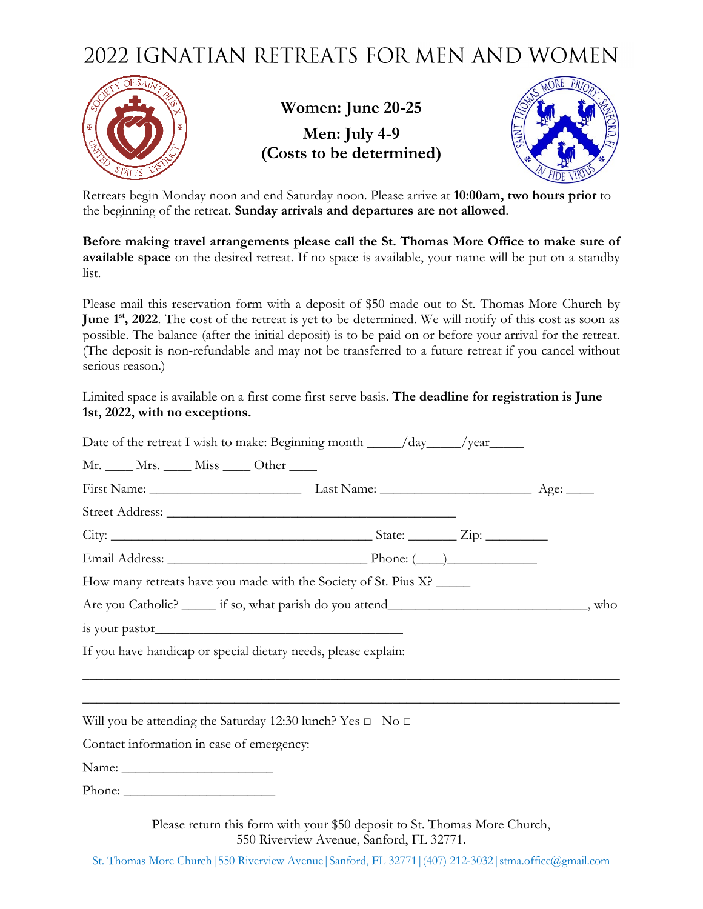## 2022 IGNATIAN RETREATS FOR MEN AND WOMEN



**Women: June 20-25 Men: July 4-9 (Costs to be determined)**



Retreats begin Monday noon and end Saturday noon. Please arrive at **10:00am, two hours prior** to the beginning of the retreat. **Sunday arrivals and departures are not allowed**.

**Before making travel arrangements please call the St. Thomas More Office to make sure of available space** on the desired retreat. If no space is available, your name will be put on a standby list.

Please mail this reservation form with a deposit of \$50 made out to St. Thomas More Church by **June 1st, 2022**. The cost of the retreat is yet to be determined. We will notify of this cost as soon as possible. The balance (after the initial deposit) is to be paid on or before your arrival for the retreat. (The deposit is non-refundable and may not be transferred to a future retreat if you cancel without serious reason.)

Limited space is available on a first come first serve basis. **The deadline for registration is June 1st, 2022, with no exceptions.**

| Mr. ____ Mrs. ____ Miss ____ Other ____                                                         |                                                                 |  |
|-------------------------------------------------------------------------------------------------|-----------------------------------------------------------------|--|
|                                                                                                 |                                                                 |  |
|                                                                                                 |                                                                 |  |
|                                                                                                 |                                                                 |  |
|                                                                                                 |                                                                 |  |
|                                                                                                 | How many retreats have you made with the Society of St. Pius X? |  |
| Are you Catholic? _______ if so, what parish do you attend________________________________, who |                                                                 |  |
|                                                                                                 |                                                                 |  |
| If you have handicap or special dietary needs, please explain:                                  |                                                                 |  |
|                                                                                                 |                                                                 |  |
|                                                                                                 |                                                                 |  |
| Will you be attending the Saturday 12:30 lunch? Yes $\Box$ No $\Box$                            |                                                                 |  |
| Contact information in case of emergency:                                                       |                                                                 |  |
|                                                                                                 |                                                                 |  |

Phone:

Please return this form with your \$50 deposit to St. Thomas More Church, 550 Riverview Avenue, Sanford, FL 32771.